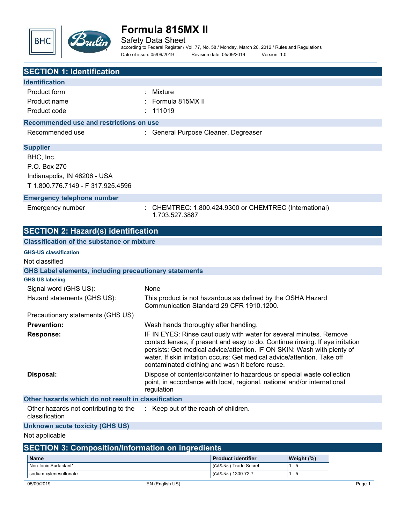

Safety Data Sheet

according to Federal Register / Vol. 77, No. 58 / Monday, March 26, 2012 / Rules and Regulations Date of issue: 05/09/2019 Revision date: 05/09/2019 Version: 1.0

| <b>SECTION 1: Identification</b>                              |                                       |                                                                                                                                                     |            |  |
|---------------------------------------------------------------|---------------------------------------|-----------------------------------------------------------------------------------------------------------------------------------------------------|------------|--|
| <b>Identification</b>                                         |                                       |                                                                                                                                                     |            |  |
| Product form                                                  | Mixture                               |                                                                                                                                                     |            |  |
| Product name                                                  | Formula 815MX II                      |                                                                                                                                                     |            |  |
| Product code                                                  | 111019                                |                                                                                                                                                     |            |  |
| Recommended use and restrictions on use                       |                                       |                                                                                                                                                     |            |  |
| Recommended use                                               | General Purpose Cleaner, Degreaser    |                                                                                                                                                     |            |  |
|                                                               |                                       |                                                                                                                                                     |            |  |
| <b>Supplier</b>                                               |                                       |                                                                                                                                                     |            |  |
| BHC, Inc.                                                     |                                       |                                                                                                                                                     |            |  |
| P.O. Box 270                                                  |                                       |                                                                                                                                                     |            |  |
| Indianapolis, IN 46206 - USA                                  |                                       |                                                                                                                                                     |            |  |
| T 1.800.776.7149 - F 317.925.4596                             |                                       |                                                                                                                                                     |            |  |
| <b>Emergency telephone number</b>                             |                                       |                                                                                                                                                     |            |  |
| Emergency number                                              |                                       | CHEMTREC: 1.800.424.9300 or CHEMTREC (International)                                                                                                |            |  |
|                                                               | 1.703.527.3887                        |                                                                                                                                                     |            |  |
| <b>SECTION 2: Hazard(s) identification</b>                    |                                       |                                                                                                                                                     |            |  |
| <b>Classification of the substance or mixture</b>             |                                       |                                                                                                                                                     |            |  |
| <b>GHS-US classification</b>                                  |                                       |                                                                                                                                                     |            |  |
| Not classified                                                |                                       |                                                                                                                                                     |            |  |
| <b>GHS Label elements, including precautionary statements</b> |                                       |                                                                                                                                                     |            |  |
| <b>GHS US labeling</b>                                        |                                       |                                                                                                                                                     |            |  |
| Signal word (GHS US):                                         | None                                  |                                                                                                                                                     |            |  |
| Hazard statements (GHS US):                                   |                                       | This product is not hazardous as defined by the OSHA Hazard<br>Communication Standard 29 CFR 1910.1200.                                             |            |  |
| Precautionary statements (GHS US)                             |                                       |                                                                                                                                                     |            |  |
| <b>Prevention:</b>                                            | Wash hands thoroughly after handling. |                                                                                                                                                     |            |  |
| <b>Response:</b>                                              |                                       | IF IN EYES: Rinse cautiously with water for several minutes. Remove                                                                                 |            |  |
|                                                               |                                       | contact lenses, if present and easy to do. Continue rinsing. If eye irritation                                                                      |            |  |
|                                                               |                                       | persists: Get medical advice/attention. IF ON SKIN: Wash with plenty of<br>water. If skin irritation occurs: Get medical advice/attention. Take off |            |  |
|                                                               |                                       | contaminated clothing and wash it before reuse.                                                                                                     |            |  |
| Disposal:                                                     |                                       | Dispose of contents/container to hazardous or special waste collection                                                                              |            |  |
|                                                               |                                       | point, in accordance with local, regional, national and/or international                                                                            |            |  |
| Other hazards which do not result in classification           | regulation                            |                                                                                                                                                     |            |  |
| Other hazards not contributing to the                         | Keep out of the reach of children.    |                                                                                                                                                     |            |  |
| classification                                                |                                       |                                                                                                                                                     |            |  |
| <b>Unknown acute toxicity (GHS US)</b>                        |                                       |                                                                                                                                                     |            |  |
| Not applicable                                                |                                       |                                                                                                                                                     |            |  |
| <b>SECTION 3: Composition/Information on ingredients</b>      |                                       |                                                                                                                                                     |            |  |
| <b>Name</b>                                                   |                                       | <b>Product identifier</b>                                                                                                                           | Weight (%) |  |
| Non-Ionic Surfactant*                                         |                                       | (CAS-No.) Trade Secret                                                                                                                              | $1 - 5$    |  |

sodium xylenesulfonate and the control of the control of the control of the control of the control of the control of the control of the control of the control of the control of the control of the control of the control of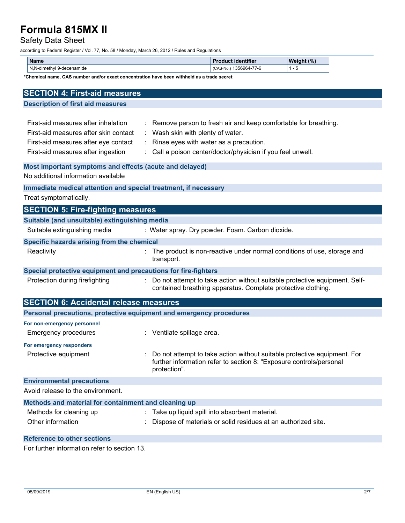## Safety Data Sheet

according to Federal Register / Vol. 77, No. 58 / Monday, March 26, 2012 / Rules and Regulations

| <b>Name</b>                                   | <b><i><u>ALCOHOL: 2009</u></i></b><br>. .<br>. identifier | (%)<br><b>Weight</b> |
|-----------------------------------------------|-----------------------------------------------------------|----------------------|
| N N.<br>√l 9-decenamide<br>-dimethvl<br>1 Y.I | $- -$<br>1356964-<br>(CAS-No.<br>-77-10                   | $\cdot$              |

**\*Chemical name, CAS number and/or exact concentration have been withheld as a trade secret**

| <b>SECTION 4: First-aid measures</b>                                |                                                                                                                                                                 |
|---------------------------------------------------------------------|-----------------------------------------------------------------------------------------------------------------------------------------------------------------|
| <b>Description of first aid measures</b>                            |                                                                                                                                                                 |
|                                                                     |                                                                                                                                                                 |
| First-aid measures after inhalation                                 | : Remove person to fresh air and keep comfortable for breathing.                                                                                                |
| First-aid measures after skin contact                               | Wash skin with plenty of water.                                                                                                                                 |
| First-aid measures after eye contact                                | : Rinse eyes with water as a precaution.                                                                                                                        |
| First-aid measures after ingestion                                  | : Call a poison center/doctor/physician if you feel unwell.                                                                                                     |
| Most important symptoms and effects (acute and delayed)             |                                                                                                                                                                 |
| No additional information available                                 |                                                                                                                                                                 |
| Immediate medical attention and special treatment, if necessary     |                                                                                                                                                                 |
| Treat symptomatically.                                              |                                                                                                                                                                 |
| <b>SECTION 5: Fire-fighting measures</b>                            |                                                                                                                                                                 |
| Suitable (and unsuitable) extinguishing media                       |                                                                                                                                                                 |
| Suitable extinguishing media                                        | : Water spray. Dry powder. Foam. Carbon dioxide.                                                                                                                |
| Specific hazards arising from the chemical                          |                                                                                                                                                                 |
| Reactivity                                                          | The product is non-reactive under normal conditions of use, storage and<br>transport.                                                                           |
| Special protective equipment and precautions for fire-fighters      |                                                                                                                                                                 |
| Protection during firefighting                                      | : Do not attempt to take action without suitable protective equipment. Self-<br>contained breathing apparatus. Complete protective clothing.                    |
| <b>SECTION 6: Accidental release measures</b>                       |                                                                                                                                                                 |
| Personal precautions, protective equipment and emergency procedures |                                                                                                                                                                 |
| For non-emergency personnel                                         |                                                                                                                                                                 |
| <b>Emergency procedures</b>                                         | : Ventilate spillage area.                                                                                                                                      |
| For emergency responders                                            |                                                                                                                                                                 |
| Protective equipment                                                | Do not attempt to take action without suitable protective equipment. For<br>further information refer to section 8: "Exposure controls/personal<br>protection". |
| <b>Environmental precautions</b>                                    |                                                                                                                                                                 |
| Avoid release to the environment.                                   |                                                                                                                                                                 |
| Methods and material for containment and cleaning up                |                                                                                                                                                                 |
| Methods for cleaning up                                             | : Take up liquid spill into absorbent material.                                                                                                                 |
| Other information                                                   | Dispose of materials or solid residues at an authorized site.                                                                                                   |
| <b>Reference to other sections</b>                                  |                                                                                                                                                                 |

For further information refer to section 13.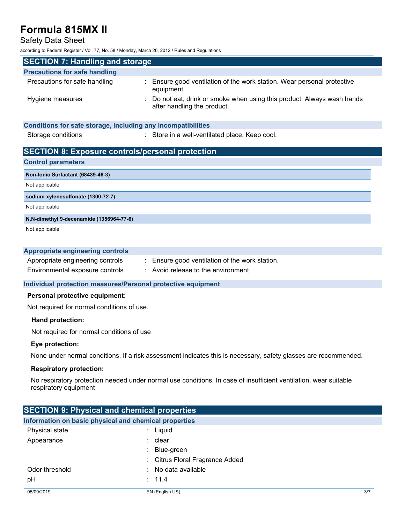Safety Data Sheet

according to Federal Register / Vol. 77, No. 58 / Monday, March 26, 2012 / Rules and Regulations

| <b>SECTION 7: Handling and storage</b> |                                                                                                        |  |
|----------------------------------------|--------------------------------------------------------------------------------------------------------|--|
| <b>Precautions for safe handling</b>   |                                                                                                        |  |
| Precautions for safe handling          | : Ensure good ventilation of the work station. Wear personal protective<br>equipment.                  |  |
| Hygiene measures                       | : Do not eat, drink or smoke when using this product. Always wash hands<br>after handling the product. |  |

## **Conditions for safe storage, including any incompatibilities** Storage conditions **Storage conditions** : Store in a well-ventilated place. Keep cool.

## **SECTION 8: Exposure controls/personal protection**

#### **Control parameters**

| Non-Ionic Surfactant (68439-46-3)         |
|-------------------------------------------|
| Not applicable                            |
| sodium xylenesulfonate (1300-72-7)        |
| Not applicable                            |
| N, N-dimethyl 9-decenamide (1356964-77-6) |
| Not applicable                            |

### **Appropriate engineering controls**

| Appropriate engineering controls |
|----------------------------------|
| Environmental exposure controls  |

- : Ensure good ventilation of the work station.
- 
- $\therefore$  Avoid release to the environment.

## **Individual protection measures/Personal protective equipment**

### **Personal protective equipment:**

Not required for normal conditions of use.

#### **Hand protection:**

Not required for normal conditions of use

## **Eye protection:**

None under normal conditions. If a risk assessment indicates this is necessary, safety glasses are recommended.

#### **Respiratory protection:**

No respiratory protection needed under normal use conditions. In case of insufficient ventilation, wear suitable respiratory equipment

| <b>SECTION 9: Physical and chemical properties</b> |                                                       |     |
|----------------------------------------------------|-------------------------------------------------------|-----|
|                                                    | Information on basic physical and chemical properties |     |
| Physical state                                     | Liquid                                                |     |
| Appearance                                         | : clear.                                              |     |
|                                                    | Blue-green                                            |     |
|                                                    | : Citrus Floral Fragrance Added                       |     |
| Odor threshold                                     | No data available                                     |     |
| рH                                                 | : 11.4                                                |     |
| 05/09/2019                                         | EN (English US)                                       | 3/7 |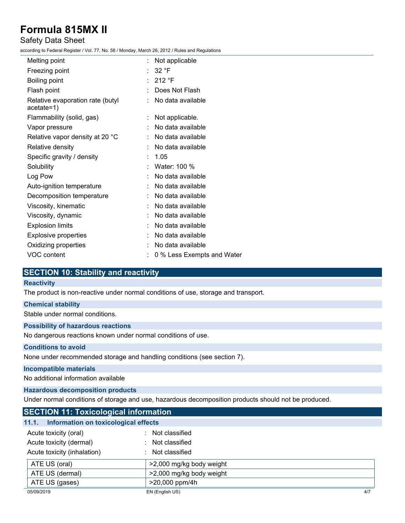## Safety Data Sheet

according to Federal Register / Vol. 77, No. 58 / Monday, March 26, 2012 / Rules and Regulations

| Melting point                                    | Not applicable             |
|--------------------------------------------------|----------------------------|
| Freezing point                                   | 32 °F                      |
| Boiling point                                    | 212 °F                     |
| Flash point                                      | Does Not Flash             |
| Relative evaporation rate (butyl<br>$acetate=1)$ | No data available          |
| Flammability (solid, gas)                        | Not applicable.            |
| Vapor pressure                                   | No data available          |
| Relative vapor density at 20 °C                  | No data available          |
| Relative density                                 | No data available          |
| Specific gravity / density                       | 1.05                       |
| Solubility                                       | Water: 100 %               |
| Log Pow                                          | No data available          |
| Auto-ignition temperature                        | No data available          |
| Decomposition temperature                        | No data available          |
| Viscosity, kinematic                             | No data available          |
| Viscosity, dynamic                               | No data available          |
| <b>Explosion limits</b>                          | No data available          |
| <b>Explosive properties</b>                      | No data available          |
| Oxidizing properties                             | No data available          |
| VOC content                                      | 0 % Less Exempts and Water |
|                                                  |                            |

## **SECTION 10: Stability and reactivity**

## **Reactivity**

The product is non-reactive under normal conditions of use, storage and transport.

## **Chemical stability**

Stable under normal conditions.

### **Possibility of hazardous reactions**

No dangerous reactions known under normal conditions of use.

## **Conditions to avoid**

None under recommended storage and handling conditions (see section 7).

## **Incompatible materials**

No additional information available

## **Hazardous decomposition products**

Under normal conditions of storage and use, hazardous decomposition products should not be produced.

| <b>SECTION 11: Toxicological information</b>  |                          |     |
|-----------------------------------------------|--------------------------|-----|
| Information on toxicological effects<br>11.1. |                          |     |
| Acute toxicity (oral)                         | Not classified           |     |
| Acute toxicity (dermal)                       | Not classified<br>÷.     |     |
| Acute toxicity (inhalation)                   | : Not classified         |     |
| ATE US (oral)                                 | >2,000 mg/kg body weight |     |
| ATE US (dermal)                               | >2,000 mg/kg body weight |     |
| ATE US (gases)                                | >20,000 ppm/4h           |     |
| 05/09/2019                                    | EN (English US)          | 4/7 |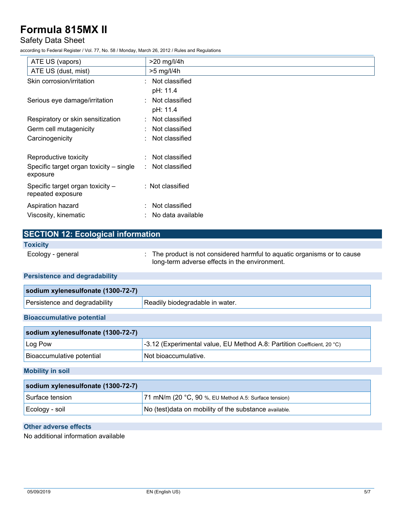## Safety Data Sheet

according to Federal Register / Vol. 77, No. 58 / Monday, March 26, 2012 / Rules and Regulations

| ATE US (vapors)                         | $>20$ mg/l/4h       |
|-----------------------------------------|---------------------|
| ATE US (dust, mist)                     | $>5$ mg/l/4h        |
| Skin corrosion/irritation               | : Not classified    |
|                                         | pH: 11.4            |
| Serious eye damage/irritation           | : Not classified    |
|                                         | pH: 11.4            |
| Respiratory or skin sensitization       | : Not classified    |
| Germ cell mutagenicity                  | : Not classified    |
| Carcinogenicity                         | Not classified<br>÷ |
|                                         |                     |
| Reproductive toxicity                   | : Not classified    |
| Specific target organ toxicity – single | : Not classified    |
| exposure                                |                     |
| Specific target organ toxicity -        | : Not classified    |
| repeated exposure                       |                     |
| Aspiration hazard                       | Not classified<br>÷ |
| Viscosity, kinematic                    | No data available   |

| <b>SECTION 12: Ecological information</b> |                                                                                                                           |
|-------------------------------------------|---------------------------------------------------------------------------------------------------------------------------|
| <b>Toxicity</b>                           |                                                                                                                           |
| Ecology - general                         | : The product is not considered harmful to aquatic organisms or to cause<br>long-term adverse effects in the environment. |
| <b>Persistence and degradability</b>      |                                                                                                                           |
| sodium xylenesulfonate (1300-72-7)        |                                                                                                                           |

| .                                                                      |                                             |
|------------------------------------------------------------------------|---------------------------------------------|
| $\overline{\phantom{a}}$<br>, dears<br>ືີ່ີີ່ລຽ∐∏∨<br>e ano-<br>.<br>. | water<br>' Readily<br>anoner<br>rorananie i |

## **Bioaccumulative potential**

| sodium xylenesulfonate (1300-72-7) |                                                                                 |
|------------------------------------|---------------------------------------------------------------------------------|
| $\lfloor$ Log Pow                  | $\vert$ -3.12 (Experimental value, EU Method A.8: Partition Coefficient, 20 °C) |
| Bioaccumulative potential          | ! Not bioaccumulative.                                                          |

## **Mobility in soil**

| sodium xylenesulfonate (1300-72-7) |                                                        |  |
|------------------------------------|--------------------------------------------------------|--|
| Surface tension                    | 71 mN/m (20 °C, 90 %, EU Method A.5: Surface tension)  |  |
| ∣Ecology - soil                    | No (test) data on mobility of the substance available. |  |

## **Other adverse effects**

No additional information available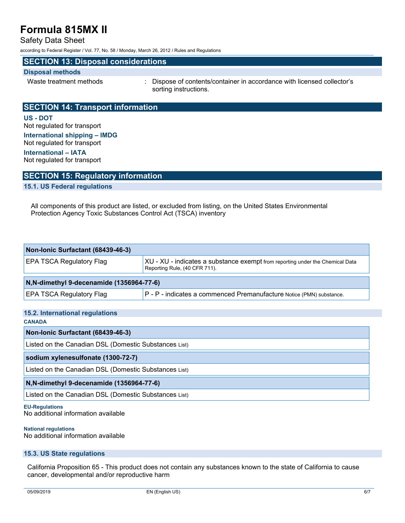Safety Data Sheet

according to Federal Register / Vol. 77, No. 58 / Monday, March 26, 2012 / Rules and Regulations

## **SECTION 13: Disposal considerations**

### **Disposal methods**

Waste treatment methods : Dispose of contents/container in accordance with licensed collector's sorting instructions.

## **SECTION 14: Transport information**

**US - DOT** Not regulated for transport **International shipping – IMDG**

Not regulated for transport

**International – IATA** Not regulated for transport

## **SECTION 15: Regulatory information**

### **15.1. US Federal regulations**

All components of this product are listed, or excluded from listing, on the United States Environmental Protection Agency Toxic Substances Control Act (TSCA) inventory

| Non-Ionic Surfactant (68439-46-3)         |                                                                                                                |  |
|-------------------------------------------|----------------------------------------------------------------------------------------------------------------|--|
| EPA TSCA Regulatory Flag                  | XU - XU - indicates a substance exempt from reporting under the Chemical Data<br>Reporting Rule, (40 CFR 711). |  |
| N, N-dimethyl 9-decenamide (1356964-77-6) |                                                                                                                |  |
| <b>EPA TSCA Regulatory Flag</b>           | P - P - indicates a commenced Premanufacture Notice (PMN) substance.                                           |  |

## **15.2. International regulations**

**CANADA**

**Non-Ionic Surfactant (68439-46-3)**

Listed on the Canadian DSL (Domestic Substances List)

**sodium xylenesulfonate (1300-72-7)**

Listed on the Canadian DSL (Domestic Substances List)

#### **N,N-dimethyl 9-decenamide (1356964-77-6)**

Listed on the Canadian DSL (Domestic Substances List)

### **EU-Regulations**

No additional information available

#### **National regulations**

No additional information available

### **15.3. US State regulations**

California Proposition 65 - This product does not contain any substances known to the state of California to cause cancer, developmental and/or reproductive harm